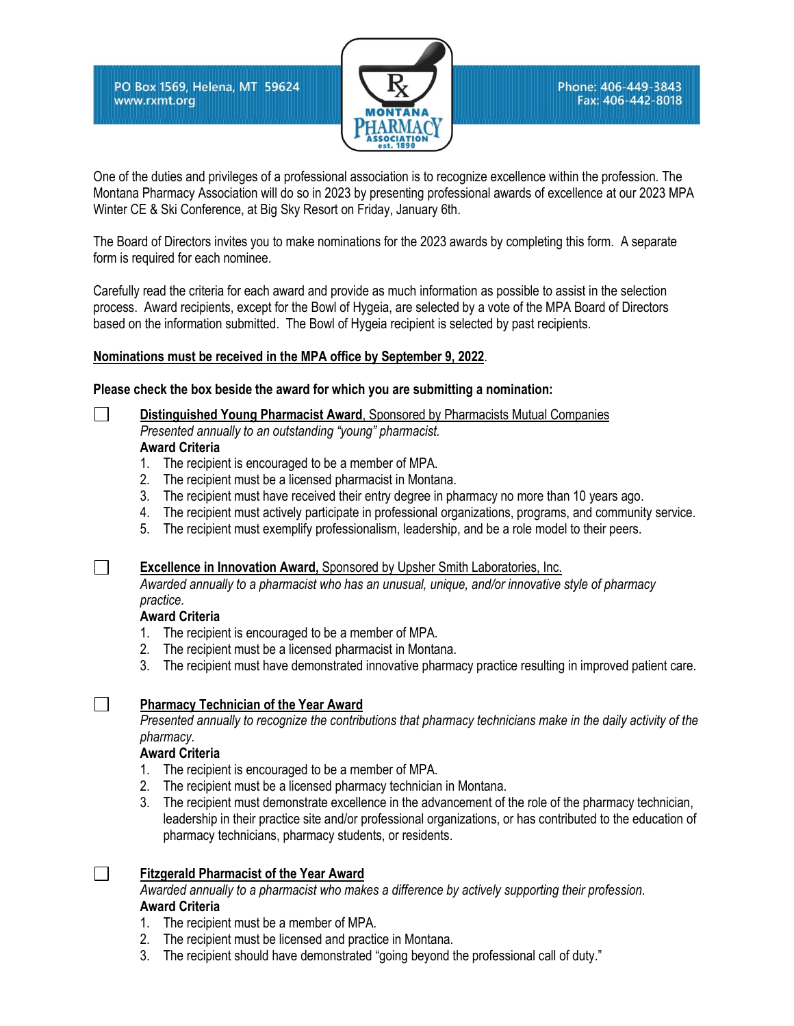PO Box 1569, Helena, MT 59624 www.rxmt.org



One of the duties and privileges of a professional association is to recognize excellence within the profession. The Montana Pharmacy Association will do so in 2023 by presenting professional awards of excellence at our 2023 MPA Winter CE & Ski Conference, at Big Sky Resort on Friday, January 6th.

The Board of Directors invites you to make nominations for the 2023 awards by completing this form. A separate form is required for each nominee.

Carefully read the criteria for each award and provide as much information as possible to assist in the selection process. Award recipients, except for the Bowl of Hygeia, are selected by a vote of the MPA Board of Directors based on the information submitted. The Bowl of Hygeia recipient is selected by past recipients.

## **Nominations must be received in the MPA office by September 9, 2022**.

**Please check the box beside the award for which you are submitting a nomination:**

- **Distinguished Young Pharmacist Award**, Sponsored by Pharmacists Mutual Companies *Presented annually to an outstanding "young" pharmacist.*  **Award Criteria**
	- 1. The recipient is encouraged to be a member of MPA.
	- 2. The recipient must be a licensed pharmacist in Montana.
	- 3. The recipient must have received their entry degree in pharmacy no more than 10 years ago.
	- 4. The recipient must actively participate in professional organizations, programs, and community service.
	- 5. The recipient must exemplify professionalism, leadership, and be a role model to their peers.

**Excellence in Innovation Award,** Sponsored by Upsher Smith Laboratories, Inc.

*Awarded annually to a pharmacist who has an unusual, unique, and/or innovative style of pharmacy practice.*

## **Award Criteria**

 $\perp$ 

 $\Box$ 

 $\Box$ 

 $\Box$ 

- 1. The recipient is encouraged to be a member of MPA.
- 2. The recipient must be a licensed pharmacist in Montana.
- 3. The recipient must have demonstrated innovative pharmacy practice resulting in improved patient care.

## **Pharmacy Technician of the Year Award**

*Presented annually to recognize the contributions that pharmacy technicians make in the daily activity of the pharmacy.* 

## **Award Criteria**

- 1. The recipient is encouraged to be a member of MPA.
- 2. The recipient must be a licensed pharmacy technician in Montana.
- 3. The recipient must demonstrate excellence in the advancement of the role of the pharmacy technician, leadership in their practice site and/or professional organizations, or has contributed to the education of pharmacy technicians, pharmacy students, or residents.

**Fitzgerald Pharmacist of the Year Award**

*Awarded annually to a pharmacist who makes a difference by actively supporting their profession.* **Award Criteria**

- 1. The recipient must be a member of MPA.
- 2. The recipient must be licensed and practice in Montana.
- 3. The recipient should have demonstrated "going beyond the professional call of duty."